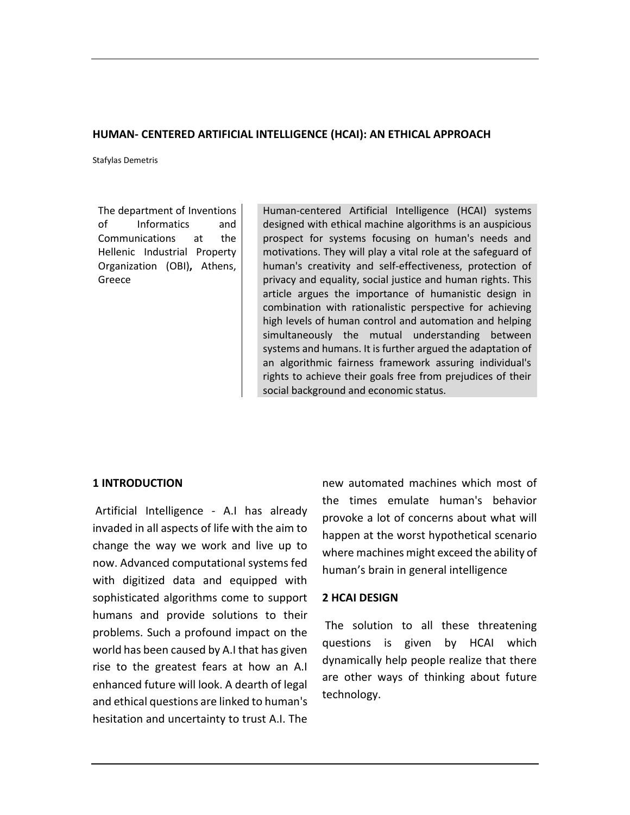## **HUMAN- CENTERED ARTIFICIAL INTELLIGENCE (HCAI): AN ETHICAL APPROACH**

Stafylas Demetris

The department of Inventions of Informatics and Communications at the Hellenic Industrial Property Organization (OBI)**,** Athens, Greece

Human-centered Artificial Intelligence (HCAI) systems designed with ethical machine algorithms is an auspicious prospect for systems focusing on human's needs and motivations. They will play a vital role at the safeguard of human's creativity and self-effectiveness, protection of privacy and equality, social justice and human rights. This article argues the importance of humanistic design in combination with rationalistic perspective for achieving high levels of human control and automation and helping simultaneously the mutual understanding between systems and humans. It is further argued the adaptation of an algorithmic fairness framework assuring individual's rights to achieve their goals free from prejudices of their social background and economic status.

### **1 INTRODUCTION**

Artificial Intelligence - A.I has already invaded in all aspects of life with the aim to change the way we work and live up to now. Advanced computational systems fed with digitized data and equipped with sophisticated algorithms come to support humans and provide solutions to their problems. Such a profound impact on the world has been caused by A.I that has given rise to the greatest fears at how an A.I enhanced future will look. A dearth of legal and ethical questions are linked to human's hesitation and uncertainty to trust A.I. The

new automated machines which most of the times emulate human's behavior provoke a lot of concerns about what will happen at the worst hypothetical scenario where machines might exceed the ability of human's brain in general intelligence

### **2 HCAI DESIGN**

The solution to all these threatening questions is given by HCAI which dynamically help people realize that there are other ways of thinking about future technology.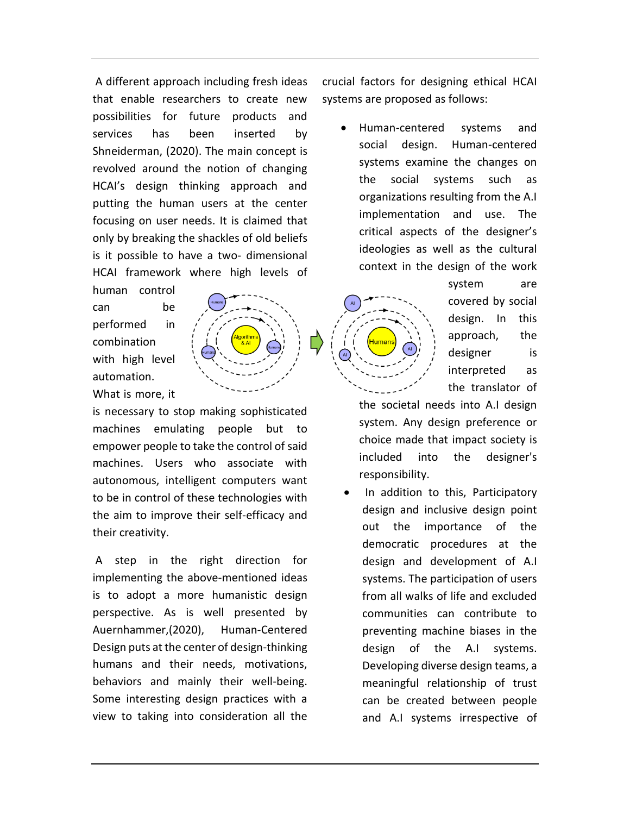A different approach including fresh ideas that enable researchers to create new possibilities for future products and services has been inserted by Shneiderman, (2020). The main concept is revolved around the notion of changing HCAI's design thinking approach and putting the human users at the center focusing on user needs. It is claimed that only by breaking the shackles of old beliefs is it possible to have a two- dimensional HCAI framework where high levels of

human control can be performed in combination with high level automation.

What is more, it

is necessary to stop making sophisticated machines emulating people but to empower people to take the control of said machines. Users who associate with autonomous, intelligent computers want to be in control of these technologies with the aim to improve their self-efficacy and their creativity.

A step in the right direction for implementing the above-mentioned ideas is to adopt a more humanistic design perspective. As is well presented by Auernhammer,(2020), Human-Centered Design puts at the center of design-thinking humans and their needs, motivations, behaviors and mainly their well-being. Some interesting design practices with a view to taking into consideration all the

crucial factors for designing ethical HCAI systems are proposed as follows:

• Human-centered systems and social design. Human-centered systems examine the changes on the social systems such as organizations resulting from the A.I implementation and use. The critical aspects of the designer's ideologies as well as the cultural context in the design of the work

> system are covered by social design. In this approach, the designer is interpreted as the translator of

the societal needs into A.I design system. Any design preference or choice made that impact society is included into the designer's responsibility.

• In addition to this, Participatory design and inclusive design point out the importance of the democratic procedures at the design and development of A.I systems. The participation of users from all walks of life and excluded communities can contribute to preventing machine biases in the design of the A.I systems. Developing diverse design teams, a meaningful relationship of trust can be created between people and A.I systems irrespective of

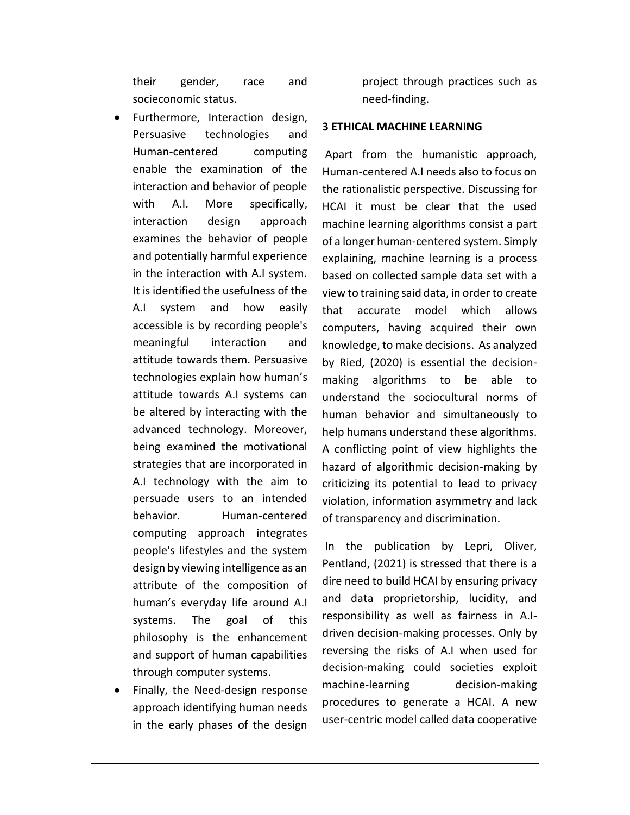their gender, race and socieconomic status.

- Furthermore, Interaction design, Persuasive technologies and Human-centered computing enable the examination of the interaction and behavior of people with A.I. More specifically, interaction design approach examines the behavior of people and potentially harmful experience in the interaction with A.I system. It is identified the usefulness of the A.I system and how easily accessible is by recording people's meaningful interaction and attitude towards them. Persuasive technologies explain how human's attitude towards A.I systems can be altered by interacting with the advanced technology. Moreover, being examined the motivational strategies that are incorporated in A.I technology with the aim to persuade users to an intended behavior. Human-centered computing approach integrates people's lifestyles and the system design by viewing intelligence as an attribute of the composition of human's everyday life around A.I systems. The goal of this philosophy is the enhancement and support of human capabilities through computer systems.
- Finally, the Need-design response approach identifying human needs in the early phases of the design

project through practices such as need-finding.

# **3 ETHICAL MACHINE LEARNING**

Apart from the humanistic approach, Human-centered A.I needs also to focus on the rationalistic perspective. Discussing for HCAI it must be clear that the used machine learning algorithms consist a part of a longer human-centered system. Simply explaining, machine learning is a process based on collected sample data set with a view to training said data, in order to create that accurate model which allows computers, having acquired their own knowledge, to make decisions. As analyzed by Ried, (2020) is essential the decisionmaking algorithms to be able to understand the sociocultural norms of human behavior and simultaneously to help humans understand these algorithms. A conflicting point of view highlights the hazard of algorithmic decision-making by criticizing its potential to lead to privacy violation, information asymmetry and lack of transparency and discrimination.

In the publication by Lepri, Oliver, Pentland, (2021) is stressed that there is a dire need to build HCAI by ensuring privacy and data proprietorship, lucidity, and responsibility as well as fairness in A.Idriven decision-making processes. Only by reversing the risks of A.I when used for decision-making could societies exploit machine-learning decision-making procedures to generate a HCAI. A new user-centric model called data cooperative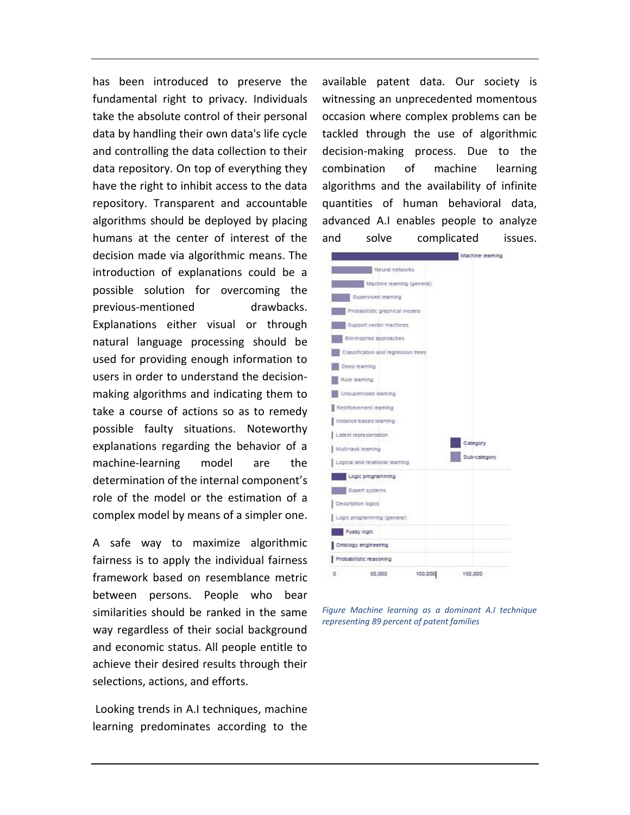has been introduced to preserve the fundamental right to privacy. Individuals take the absolute control of their personal data by handling their own data's life cycle and controlling the data collection to their data repository. On top of everything they have the right to inhibit access to the data repository. Transparent and accountable algorithms should be deployed by placing humans at the center of interest of the decision made via algorithmic means. The introduction of explanations could be a possible solution for overcoming the previous-mentioned drawbacks. Explanations either visual or through natural language processing should be used for providing enough information to users in order to understand the decisionmaking algorithms and indicating them to take a course of actions so as to remedy possible faulty situations. Noteworthy explanations regarding the behavior of a machine-learning model are the determination of the internal component's role of the model or the estimation of a complex model by means of a simpler one.

A safe way to maximize algorithmic fairness is to apply the individual fairness framework based on resemblance metric between persons. People who bear similarities should be ranked in the same way regardless of their social background and economic status. All people entitle to achieve their desired results through their selections, actions, and efforts.

Looking trends in A.I techniques, machine learning predominates according to the available patent data. Our society is witnessing an unprecedented momentous occasion where complex problems can be tackled through the use of algorithmic decision-making process. Due to the combination of machine learning algorithms and the availability of infinite quantities of human behavioral data, advanced A.I enables people to analyze and solve complicated issues.



*Figure Machine learning as a dominant A.I technique representing 89 percent of patent families*